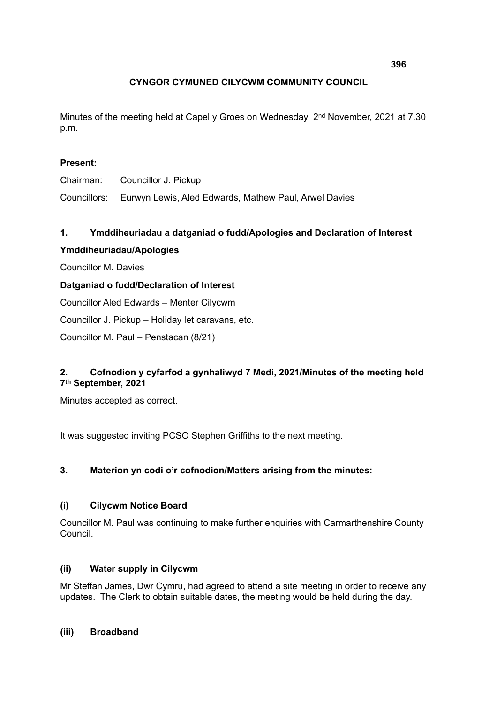# **CYNGOR CYMUNED CILYCWM COMMUNITY COUNCIL**

Minutes of the meeting held at Capel y Groes on Wednesday 2<sup>nd</sup> November, 2021 at 7.30 p.m.

# **Present:**

Chairman: Councillor J. Pickup

Councillors: Eurwyn Lewis, Aled Edwards, Mathew Paul, Arwel Davies

## **1. Ymddiheuriadau a datganiad o fudd/Apologies and Declaration of Interest**

## **Ymddiheuriadau/Apologies**

Councillor M. Davies

## **Datganiad o fudd/Declaration of Interest**

Councillor Aled Edwards – Menter Cilycwm

Councillor J. Pickup – Holiday let caravans, etc.

Councillor M. Paul – Penstacan (8/21)

# **2. Cofnodion y cyfarfod a gynhaliwyd 7 Medi, 2021/Minutes of the meeting held 7th September, 2021**

Minutes accepted as correct.

It was suggested inviting PCSO Stephen Griffiths to the next meeting.

## **3. Materion yn codi o'r cofnodion/Matters arising from the minutes:**

## **(i) Cilycwm Notice Board**

Councillor M. Paul was continuing to make further enquiries with Carmarthenshire County Council.

## **(ii) Water supply in Cilycwm**

Mr Steffan James, Dwr Cymru, had agreed to attend a site meeting in order to receive any updates. The Clerk to obtain suitable dates, the meeting would be held during the day.

## **(iii) Broadband**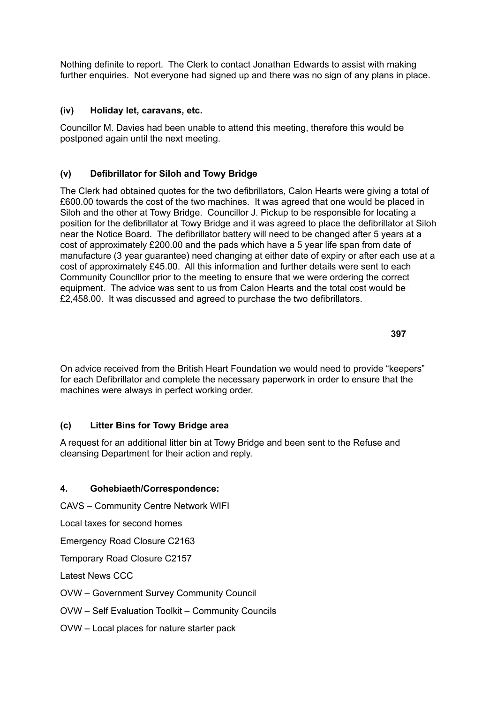Nothing definite to report. The Clerk to contact Jonathan Edwards to assist with making further enquiries. Not everyone had signed up and there was no sign of any plans in place.

#### **(iv) Holiday let, caravans, etc.**

Councillor M. Davies had been unable to attend this meeting, therefore this would be postponed again until the next meeting.

#### **(v) Defibrillator for Siloh and Towy Bridge**

The Clerk had obtained quotes for the two defibrillators, Calon Hearts were giving a total of £600.00 towards the cost of the two machines. It was agreed that one would be placed in Siloh and the other at Towy Bridge. Councillor J. Pickup to be responsible for locating a position for the defibrillator at Towy Bridge and it was agreed to place the defibrillator at Siloh near the Notice Board. The defibrillator battery will need to be changed after 5 years at a cost of approximately £200.00 and the pads which have a 5 year life span from date of manufacture (3 year guarantee) need changing at either date of expiry or after each use at a cost of approximately £45.00. All this information and further details were sent to each Community Counclllor prior to the meeting to ensure that we were ordering the correct equipment. The advice was sent to us from Calon Hearts and the total cost would be £2,458.00. It was discussed and agreed to purchase the two defibrillators.

On advice received from the British Heart Foundation we would need to provide "keepers" for each Defibrillator and complete the necessary paperwork in order to ensure that the machines were always in perfect working order.

#### **(c) Litter Bins for Towy Bridge area**

A request for an additional litter bin at Towy Bridge and been sent to the Refuse and cleansing Department for their action and reply.

## **4. Gohebiaeth/Correspondence:**

CAVS – Community Centre Network WIFI

Local taxes for second homes

Emergency Road Closure C2163

Temporary Road Closure C2157

Latest News CCC

OVW – Government Survey Community Council

OVW – Self Evaluation Toolkit – Community Councils

OVW – Local places for nature starter pack

**397**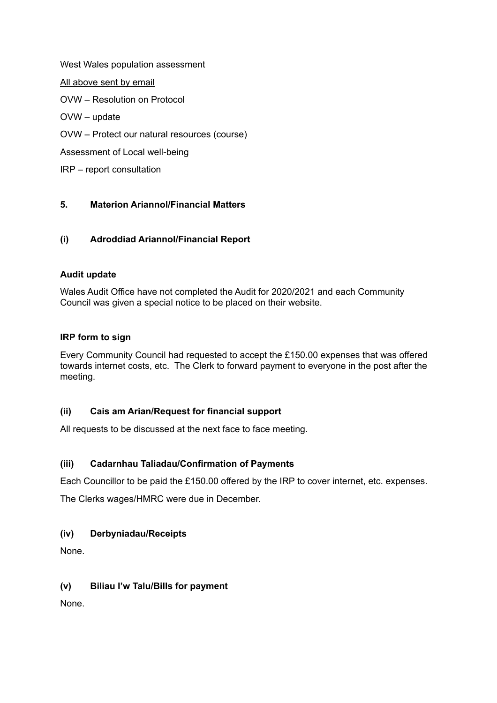West Wales population assessment All above sent by email OVW – Resolution on Protocol OVW – update OVW – Protect our natural resources (course) Assessment of Local well-being IRP – report consultation

# **5. Materion Ariannol/Financial Matters**

## **(i) Adroddiad Ariannol/Financial Report**

#### **Audit update**

Wales Audit Office have not completed the Audit for 2020/2021 and each Community Council was given a special notice to be placed on their website.

#### **IRP form to sign**

Every Community Council had requested to accept the £150.00 expenses that was offered towards internet costs, etc. The Clerk to forward payment to everyone in the post after the meeting.

## **(ii) Cais am Arian/Request for financial support**

All requests to be discussed at the next face to face meeting.

## **(iii) Cadarnhau Taliadau/Confirmation of Payments**

Each Councillor to be paid the £150.00 offered by the IRP to cover internet, etc. expenses.

The Clerks wages/HMRC were due in December.

#### **(iv) Derbyniadau/Receipts**

None.

## **(v) Biliau I'w Talu/Bills for payment**

None.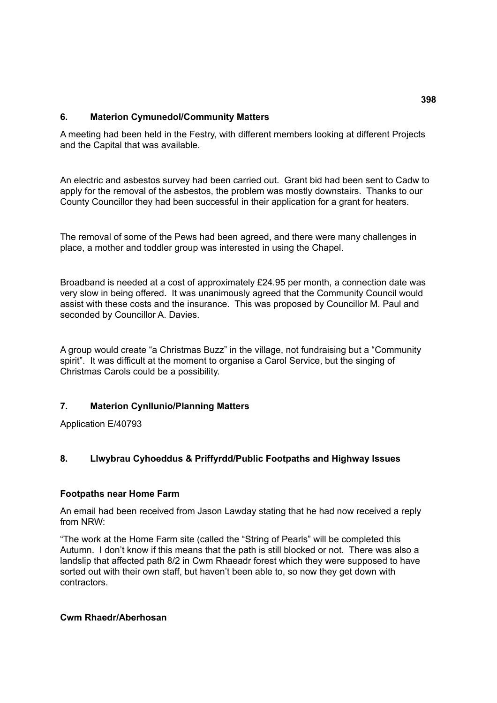#### **6. Materion Cymunedol/Community Matters**

A meeting had been held in the Festry, with different members looking at different Projects and the Capital that was available.

An electric and asbestos survey had been carried out. Grant bid had been sent to Cadw to apply for the removal of the asbestos, the problem was mostly downstairs. Thanks to our County Councillor they had been successful in their application for a grant for heaters.

The removal of some of the Pews had been agreed, and there were many challenges in place, a mother and toddler group was interested in using the Chapel.

Broadband is needed at a cost of approximately £24.95 per month, a connection date was very slow in being offered. It was unanimously agreed that the Community Council would assist with these costs and the insurance. This was proposed by Councillor M. Paul and seconded by Councillor A. Davies.

A group would create "a Christmas Buzz" in the village, not fundraising but a "Community spirit". It was difficult at the moment to organise a Carol Service, but the singing of Christmas Carols could be a possibility.

## **7. Materion Cynllunio/Planning Matters**

Application E/40793

## **8. Llwybrau Cyhoeddus & Priffyrdd/Public Footpaths and Highway Issues**

#### **Footpaths near Home Farm**

An email had been received from Jason Lawday stating that he had now received a reply from NRW:

"The work at the Home Farm site (called the "String of Pearls" will be completed this Autumn. I don't know if this means that the path is still blocked or not. There was also a landslip that affected path 8/2 in Cwm Rhaeadr forest which they were supposed to have sorted out with their own staff, but haven't been able to, so now they get down with contractors.

#### **Cwm Rhaedr/Aberhosan**